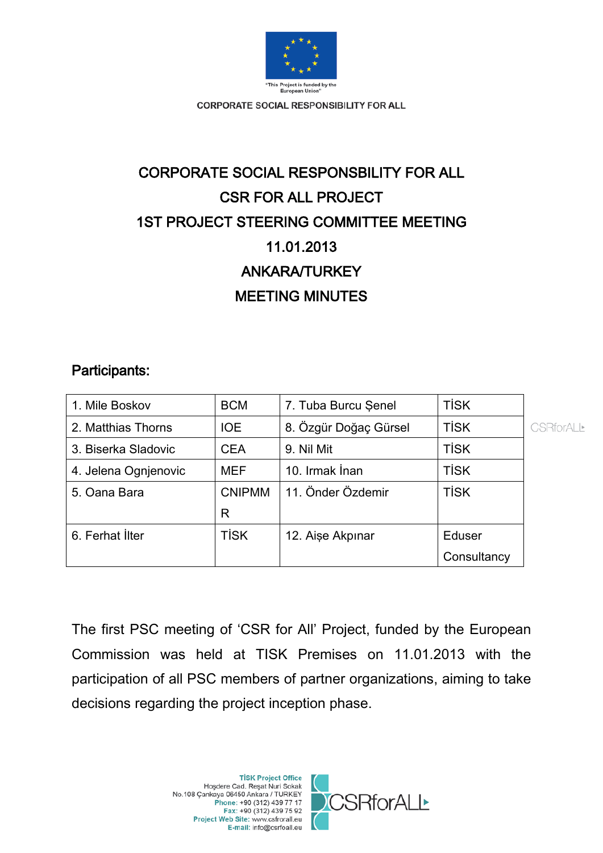

# CORPORATE SOCIAL RESPONSBILITY FOR ALL CSR FOR ALL PROJECT 1ST PROJECT STEERING COMMITTEE MEETING 11.01.2013 ANKARA/TURKEY MEETING MINUTES

### Participants:

| 1. Mile Boskov       | <b>BCM</b>    | 7. Tuba Burcu Şenel   | <b>TİSK</b> |   |
|----------------------|---------------|-----------------------|-------------|---|
| 2. Matthias Thorns   | <b>IOE</b>    | 8. Özgür Doğaç Gürsel | <b>TISK</b> | Œ |
| 3. Biserka Sladovic  | <b>CEA</b>    | 9. Nil Mit            | <b>TISK</b> |   |
| 4. Jelena Ognjenovic | <b>MEF</b>    | 10. Irmak İnan        | <b>TISK</b> |   |
| 5. Oana Bara         | <b>CNIPMM</b> | 11. Önder Özdemir     | <b>TISK</b> |   |
|                      | R             |                       |             |   |
| 6. Ferhat İlter      | <b>TİSK</b>   | 12. Aişe Akpınar      | Eduser      |   |
|                      |               |                       | Consultancy |   |

The first PSC meeting of 'CSR for All' Project, funded by the European Commission was held at TISK Premises on 11.01.2013 with the participation of all PSC members of partner organizations, aiming to take decisions regarding the project inception phase.



**SRforALL\***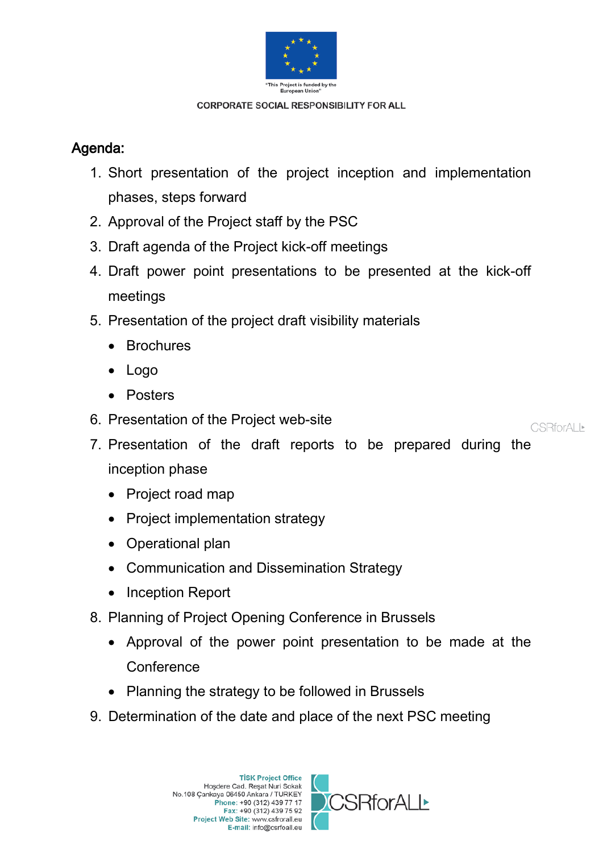

# Agenda:

- 1. Short presentation of the project inception and implementation phases, steps forward
- 2. Approval of the Project staff by the PSC
- 3. Draft agenda of the Project kick-off meetings
- 4. Draft power point presentations to be presented at the kick-off meetings
- 5. Presentation of the project draft visibility materials
	- Brochures
	- Logo
	- Posters
- 6. Presentation of the Project web-site

**CSRforALL\*** 

- 7. Presentation of the draft reports to be prepared during the inception phase
	- Project road map
	- Project implementation strategy
	- Operational plan
	- Communication and Dissemination Strategy
	- Inception Report
- 8. Planning of Project Opening Conference in Brussels
	- Approval of the power point presentation to be made at the **Conference**
	- Planning the strategy to be followed in Brussels
- 9. Determination of the date and place of the next PSC meeting

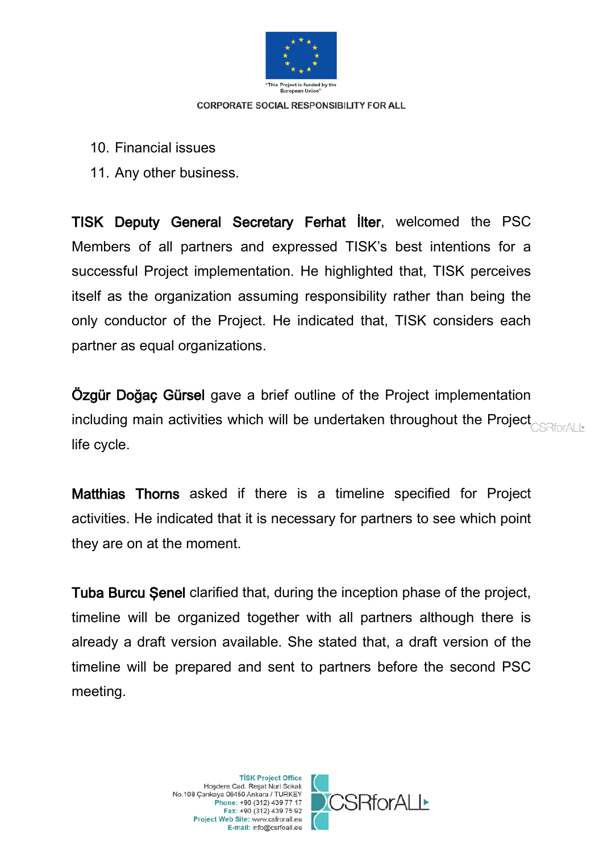

- 10. Financial issues
- 11. Any other business.

TISK Deputy General Secretary Ferhat İlter, welcomed the PSC Members of all partners and expressed TISK's best intentions for a successful Project implementation. He highlighted that, TISK perceives itself as the organization assuming responsibility rather than being the only conductor of the Project. He indicated that, TISK considers each partner as equal organizations.

Özgür Doğaç Gürsel gave a brief outline of the Project implementation including main activities which will be undertaken throughout the Project **CONFOTALL** life cycle.

Matthias Thorns asked if there is a timeline specified for Project activities. He indicated that it is necessary for partners to see which point they are on at the moment.

Tuba Burcu Şenel clarified that, during the inception phase of the project, timeline will be organized together with all partners although there is already a draft version available. She stated that, a draft version of the timeline will be prepared and sent to partners before the second PSC meeting.

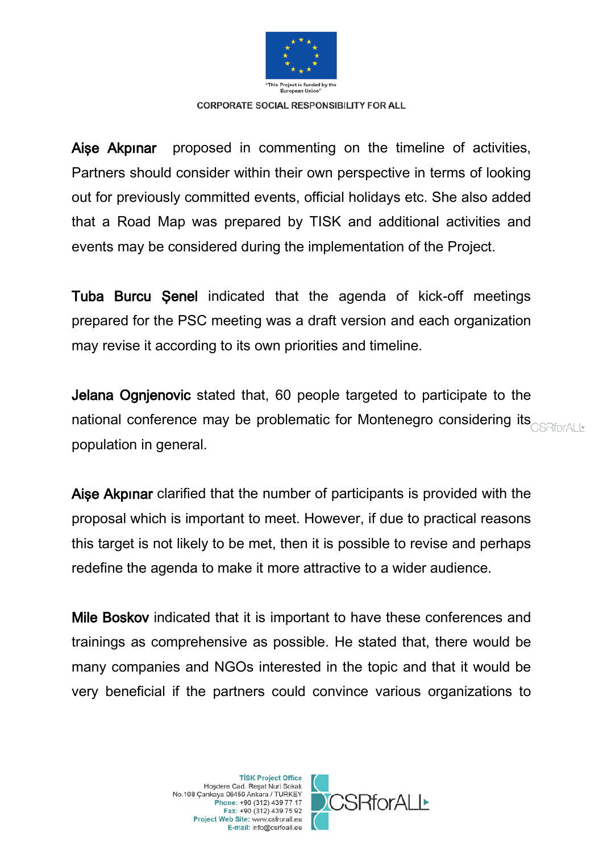

Aişe Akpınar proposed in commenting on the timeline of activities, Partners should consider within their own perspective in terms of looking out for previously committed events, official holidays etc. She also added that a Road Map was prepared by TISK and additional activities and events may be considered during the implementation of the Project.

Tuba Burcu Şenel indicated that the agenda of kick-off meetings prepared for the PSC meeting was a draft version and each organization may revise it according to its own priorities and timeline.

Jelana Ognjenovic stated that, 60 people targeted to participate to the national conference may be problematic for Montenegro considering its **CONFICTALL** population in general.

Aişe Akpınar clarified that the number of participants is provided with the proposal which is important to meet. However, if due to practical reasons this target is not likely to be met, then it is possible to revise and perhaps redefine the agenda to make it more attractive to a wider audience.

Mile Boskov indicated that it is important to have these conferences and trainings as comprehensive as possible. He stated that, there would be many companies and NGOs interested in the topic and that it would be very beneficial if the partners could convince various organizations to



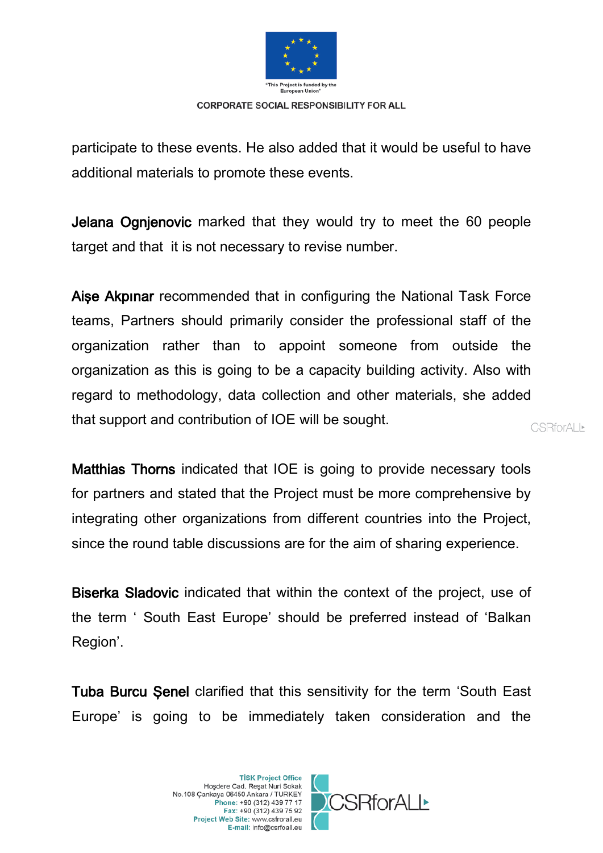

participate to these events. He also added that it would be useful to have additional materials to promote these events.

Jelana Ognjenovic marked that they would try to meet the 60 people target and that it is not necessary to revise number.

Aişe Akpınar recommended that in configuring the National Task Force teams, Partners should primarily consider the professional staff of the organization rather than to appoint someone from outside the organization as this is going to be a capacity building activity. Also with regard to methodology, data collection and other materials, she added that support and contribution of IOE will be sought. **CSRforALL** 

Matthias Thorns indicated that IOE is going to provide necessary tools for partners and stated that the Project must be more comprehensive by integrating other organizations from different countries into the Project, since the round table discussions are for the aim of sharing experience.

Biserka Sladovic indicated that within the context of the project, use of the term ' South East Europe' should be preferred instead of 'Balkan Region'.

Tuba Burcu Senel clarified that this sensitivity for the term 'South East Europe' is going to be immediately taken consideration and the



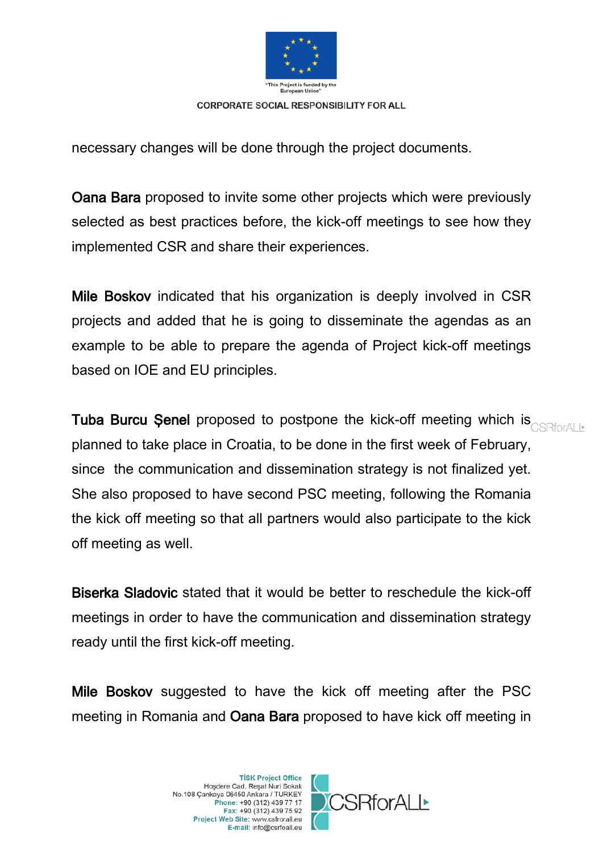

necessary changes will be done through the project documents.

Oana Bara proposed to invite some other projects which were previously selected as best practices before, the kick-off meetings to see how they implemented CSR and share their experiences.

Mile Boskov indicated that his organization is deeply involved in CSR projects and added that he is going to disseminate the agendas as an example to be able to prepare the agenda of Project kick-off meetings based on IOE and EU principles.

Tuba Burcu Senel proposed to postpone the kick-off meeting which is **CORPOTAL IN** planned to take place in Croatia, to be done in the first week of February, since the communication and dissemination strategy is not finalized yet. She also proposed to have second PSC meeting, following the Romania the kick off meeting so that all partners would also participate to the kick off meeting as well.

Biserka Sladovic stated that it would be better to reschedule the kick-off meetings in order to have the communication and dissemination strategy ready until the first kick-off meeting.

Mile Boskov suggested to have the kick off meeting after the PSC meeting in Romania and Oana Bara proposed to have kick off meeting in



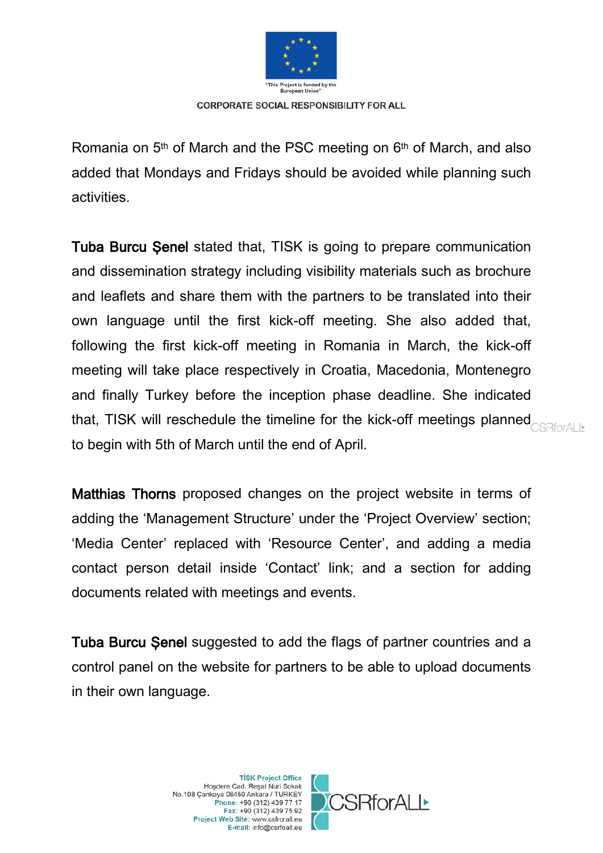

Romania on 5<sup>th</sup> of March and the PSC meeting on 6<sup>th</sup> of March, and also added that Mondays and Fridays should be avoided while planning such activities.

Tuba Burcu Şenel stated that, TISK is going to prepare communication and dissemination strategy including visibility materials such as brochure and leaflets and share them with the partners to be translated into their own language until the first kick-off meeting. She also added that, following the first kick-off meeting in Romania in March, the kick-off meeting will take place respectively in Croatia, Macedonia, Montenegro and finally Turkey before the inception phase deadline. She indicated that, TISK will reschedule the timeline for the kick-off meetings planned **CAR TO ALL** to begin with 5th of March until the end of April.

Matthias Thorns proposed changes on the project website in terms of adding the 'Management Structure' under the 'Project Overview' section; 'Media Center' replaced with 'Resource Center', and adding a media contact person detail inside 'Contact' link; and a section for adding documents related with meetings and events.

Tuba Burcu Senel suggested to add the flags of partner countries and a control panel on the website for partners to be able to upload documents in their own language.



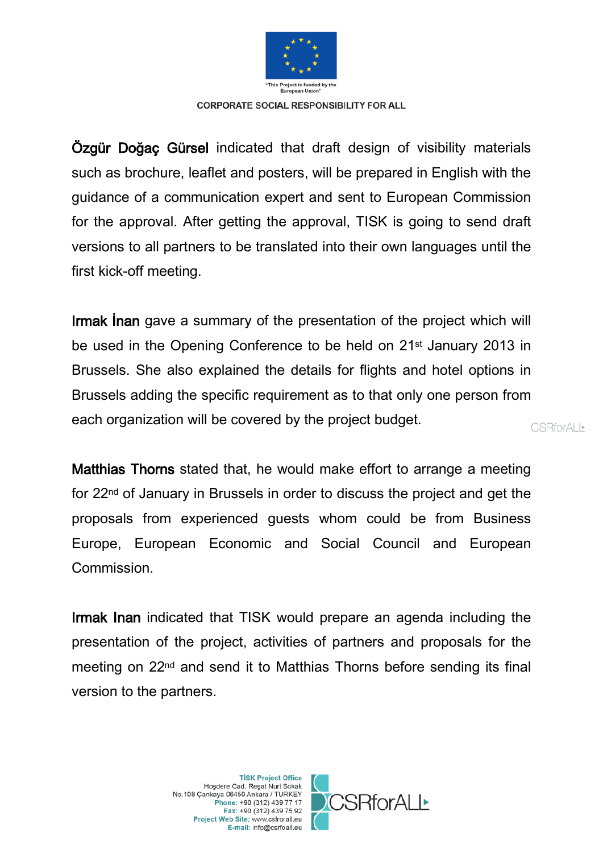

Özgür Doğaç Gürsel indicated that draft design of visibility materials such as brochure, leaflet and posters, will be prepared in English with the guidance of a communication expert and sent to European Commission for the approval. After getting the approval, TISK is going to send draft versions to all partners to be translated into their own languages until the first kick-off meeting.

Irmak İnan gave a summary of the presentation of the project which will be used in the Opening Conference to be held on 21<sup>st</sup> January 2013 in Brussels. She also explained the details for flights and hotel options in Brussels adding the specific requirement as to that only one person from each organization will be covered by the project budget.

Matthias Thorns stated that, he would make effort to arrange a meeting for 22nd of January in Brussels in order to discuss the project and get the proposals from experienced guests whom could be from Business Europe, European Economic and Social Council and European Commission.

Irmak Inan indicated that TISK would prepare an agenda including the presentation of the project, activities of partners and proposals for the meeting on 22nd and send it to Matthias Thorns before sending its final version to the partners.

> **TİSK Project Office** Hoşdere Cad. Reşat Nuri Sokak No.108 Cankaya 06450 Ankara / TURKEY Phone: +90 (312) 439 77 17 Fax: +90 (312) 439 75 92 Project Web Site: www.csfrorall.eu E-mail: info@csrfoall.eu



**CSRforALL\***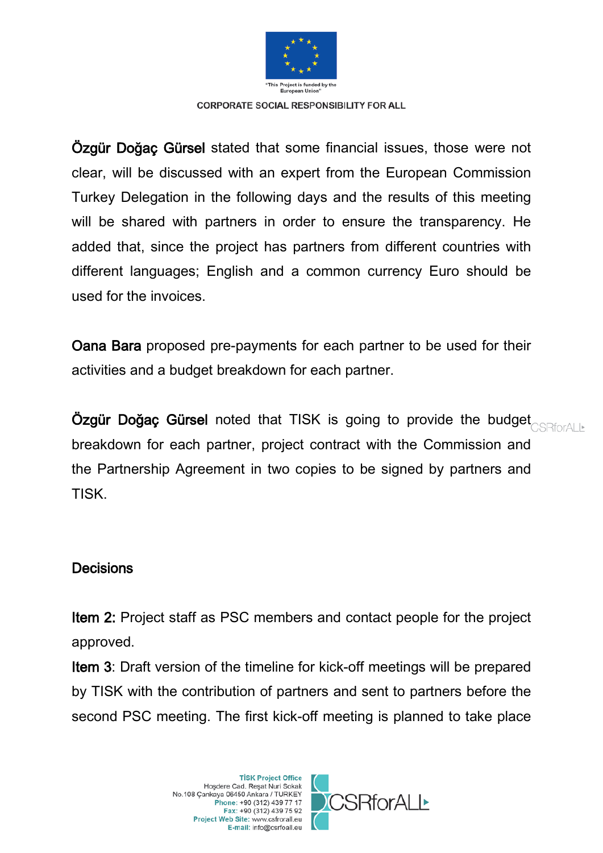

Özgür Doğaç Gürsel stated that some financial issues, those were not clear, will be discussed with an expert from the European Commission Turkey Delegation in the following days and the results of this meeting will be shared with partners in order to ensure the transparency. He added that, since the project has partners from different countries with different languages; English and a common currency Euro should be used for the invoices.

Oana Bara proposed pre-payments for each partner to be used for their activities and a budget breakdown for each partner.

Özgür Doğaç Gürsel noted that TISK is going to provide the budget breakdown for each partner, project contract with the Commission and the Partnership Agreement in two copies to be signed by partners and TISK.

## **Decisions**

Item 2: Project staff as PSC members and contact people for the project approved.

Item 3: Draft version of the timeline for kick-off meetings will be prepared by TISK with the contribution of partners and sent to partners before the second PSC meeting. The first kick-off meeting is planned to take place

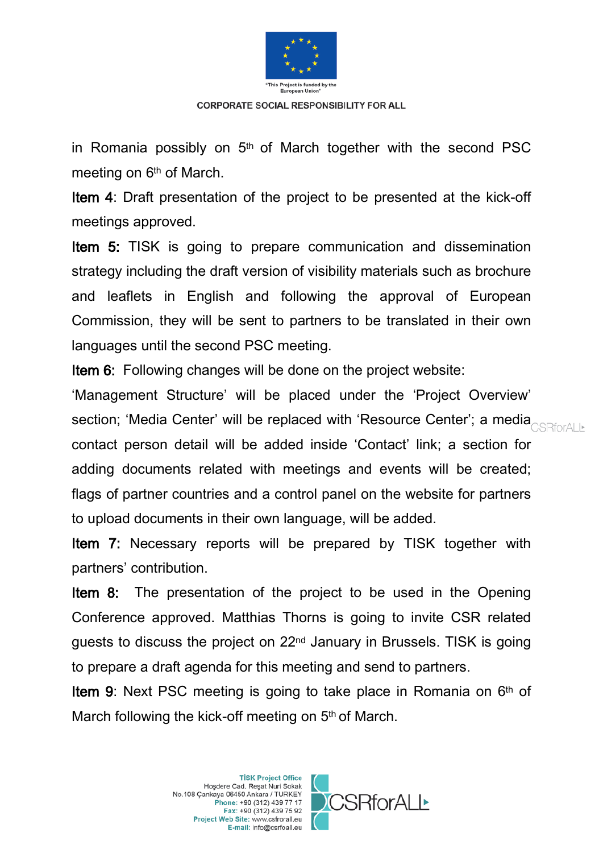

in Romania possibly on  $5<sup>th</sup>$  of March together with the second PSC meeting on 6<sup>th</sup> of March.

Item 4: Draft presentation of the project to be presented at the kick-off meetings approved.

Item 5: TISK is going to prepare communication and dissemination strategy including the draft version of visibility materials such as brochure and leaflets in English and following the approval of European Commission, they will be sent to partners to be translated in their own languages until the second PSC meeting.

Item 6: Following changes will be done on the project website:

'Management Structure' will be placed under the 'Project Overview' section; 'Media Center' will be replaced with 'Resource Center'; a media<sub>CSRforAL</sub> contact person detail will be added inside 'Contact' link; a section for adding documents related with meetings and events will be created; flags of partner countries and a control panel on the website for partners to upload documents in their own language, will be added.

Item 7: Necessary reports will be prepared by TISK together with partners' contribution.

Item 8: The presentation of the project to be used in the Opening Conference approved. Matthias Thorns is going to invite CSR related guests to discuss the project on 22nd January in Brussels. TISK is going to prepare a draft agenda for this meeting and send to partners.

Item 9: Next PSC meeting is going to take place in Romania on 6<sup>th</sup> of March following the kick-off meeting on 5<sup>th</sup> of March.